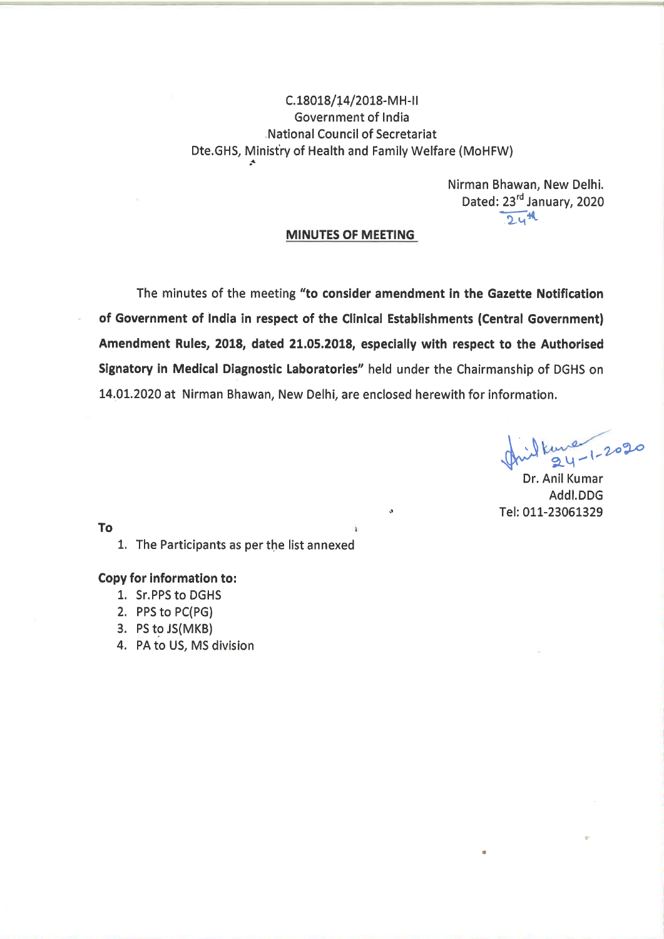# C.18018/14/2018-MH-II Government of India National Council of Secretariat Dte. GHS, Ministry of Health and Family Welfare (MoHFW)

Nirman Bhawan, New Delhi. Dated: 23rd January, 2020  $24$ 

#### **MINUTES OF MEETING**

The minutes of the meeting "to consider amendment in the Gazette Notification of Government of India in respect of the Clinical Establishments (Central Government) Amendment Rules, 2018, dated 21.05.2018, especially with respect to the Authorised Signatory in Medical Diagnostic Laboratories" held under the Chairmanship of DGHS on 14.01.2020 at Nirman Bhawan, New Delhi, are enclosed herewith for information.

 $24 - 1 - 2020$ 

Dr. Anil Kumar Addl.DDG Tel: 011-23061329

To

1. The Participants as per the list annexed

#### **Copy for information to:**

- 1. Sr.PPS to DGHS
- 2. PPS to PC(PG)
- 3. PS to JS(MKB)
- 4. PA to US, MS division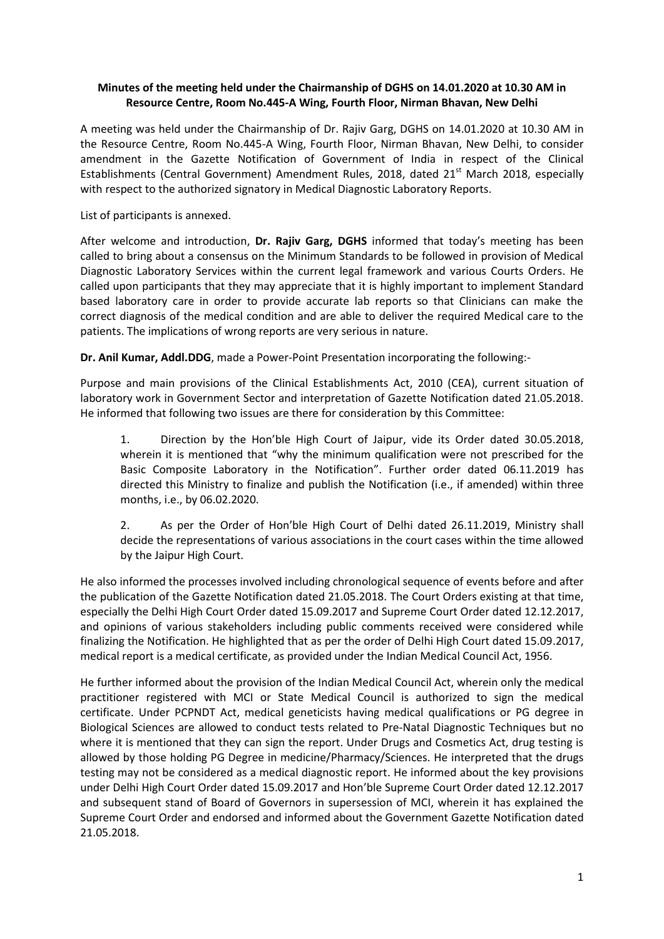## **Minutes of the meeting held under the Chairmanship of DGHS on 14.01.2020 at 10.30 AM in Resource Centre, Room No.445-A Wing, Fourth Floor, Nirman Bhavan, New Delhi**

A meeting was held under the Chairmanship of Dr. Rajiv Garg, DGHS on 14.01.2020 at 10.30 AM in the Resource Centre, Room No.445-A Wing, Fourth Floor, Nirman Bhavan, New Delhi, to consider amendment in the Gazette Notification of Government of India in respect of the Clinical Establishments (Central Government) Amendment Rules, 2018, dated 21<sup>st</sup> March 2018, especially with respect to the authorized signatory in Medical Diagnostic Laboratory Reports.

List of participants is annexed.

After welcome and introduction, **Dr. Rajiv Garg, DGHS** informed that today's meeting has been called to bring about a consensus on the Minimum Standards to be followed in provision of Medical Diagnostic Laboratory Services within the current legal framework and various Courts Orders. He called upon participants that they may appreciate that it is highly important to implement Standard based laboratory care in order to provide accurate lab reports so that Clinicians can make the correct diagnosis of the medical condition and are able to deliver the required Medical care to the patients. The implications of wrong reports are very serious in nature.

**Dr. Anil Kumar, Addl.DDG**, made a Power-Point Presentation incorporating the following:-

Purpose and main provisions of the Clinical Establishments Act, 2010 (CEA), current situation of laboratory work in Government Sector and interpretation of Gazette Notification dated 21.05.2018. He informed that following two issues are there for consideration by this Committee:

1. Direction by the Hon'ble High Court of Jaipur, vide its Order dated 30.05.2018, wherein it is mentioned that "why the minimum qualification were not prescribed for the Basic Composite Laboratory in the Notification". Further order dated 06.11.2019 has directed this Ministry to finalize and publish the Notification (i.e., if amended) within three months, i.e., by 06.02.2020.

2. As per the Order of Hon'ble High Court of Delhi dated 26.11.2019, Ministry shall decide the representations of various associations in the court cases within the time allowed by the Jaipur High Court.

He also informed the processes involved including chronological sequence of events before and after the publication of the Gazette Notification dated 21.05.2018. The Court Orders existing at that time, especially the Delhi High Court Order dated 15.09.2017 and Supreme Court Order dated 12.12.2017, and opinions of various stakeholders including public comments received were considered while finalizing the Notification. He highlighted that as per the order of Delhi High Court dated 15.09.2017, medical report is a medical certificate, as provided under the Indian Medical Council Act, 1956.

He further informed about the provision of the Indian Medical Council Act, wherein only the medical practitioner registered with MCI or State Medical Council is authorized to sign the medical certificate. Under PCPNDT Act, medical geneticists having medical qualifications or PG degree in Biological Sciences are allowed to conduct tests related to Pre-Natal Diagnostic Techniques but no where it is mentioned that they can sign the report. Under Drugs and Cosmetics Act, drug testing is allowed by those holding PG Degree in medicine/Pharmacy/Sciences. He interpreted that the drugs testing may not be considered as a medical diagnostic report. He informed about the key provisions under Delhi High Court Order dated 15.09.2017 and Hon'ble Supreme Court Order dated 12.12.2017 and subsequent stand of Board of Governors in supersession of MCI, wherein it has explained the Supreme Court Order and endorsed and informed about the Government Gazette Notification dated 21.05.2018.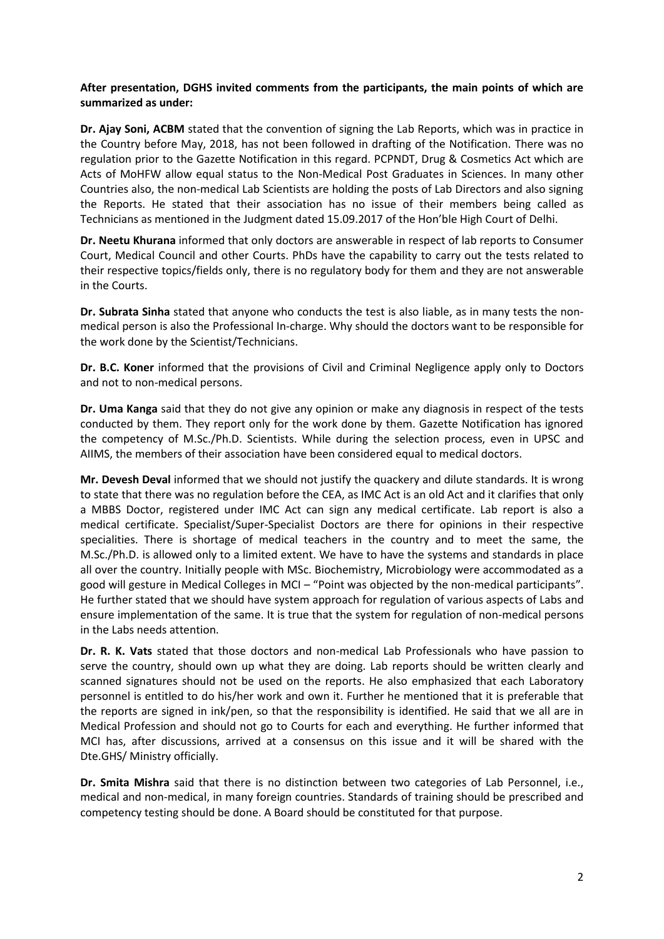## **After presentation, DGHS invited comments from the participants, the main points of which are summarized as under:**

**Dr. Ajay Soni, ACBM** stated that the convention of signing the Lab Reports, which was in practice in the Country before May, 2018, has not been followed in drafting of the Notification. There was no regulation prior to the Gazette Notification in this regard. PCPNDT, Drug & Cosmetics Act which are Acts of MoHFW allow equal status to the Non-Medical Post Graduates in Sciences. In many other Countries also, the non-medical Lab Scientists are holding the posts of Lab Directors and also signing the Reports. He stated that their association has no issue of their members being called as Technicians as mentioned in the Judgment dated 15.09.2017 of the Hon'ble High Court of Delhi.

**Dr. Neetu Khurana** informed that only doctors are answerable in respect of lab reports to Consumer Court, Medical Council and other Courts. PhDs have the capability to carry out the tests related to their respective topics/fields only, there is no regulatory body for them and they are not answerable in the Courts.

**Dr. Subrata Sinha** stated that anyone who conducts the test is also liable, as in many tests the nonmedical person is also the Professional In-charge. Why should the doctors want to be responsible for the work done by the Scientist/Technicians.

**Dr. B.C. Koner** informed that the provisions of Civil and Criminal Negligence apply only to Doctors and not to non-medical persons.

**Dr. Uma Kanga** said that they do not give any opinion or make any diagnosis in respect of the tests conducted by them. They report only for the work done by them. Gazette Notification has ignored the competency of M.Sc./Ph.D. Scientists. While during the selection process, even in UPSC and AIIMS, the members of their association have been considered equal to medical doctors.

**Mr. Devesh Deval** informed that we should not justify the quackery and dilute standards. It is wrong to state that there was no regulation before the CEA, as IMC Act is an old Act and it clarifies that only a MBBS Doctor, registered under IMC Act can sign any medical certificate. Lab report is also a medical certificate. Specialist/Super-Specialist Doctors are there for opinions in their respective specialities. There is shortage of medical teachers in the country and to meet the same, the M.Sc./Ph.D. is allowed only to a limited extent. We have to have the systems and standards in place all over the country. Initially people with MSc. Biochemistry, Microbiology were accommodated as a good will gesture in Medical Colleges in MCI – "Point was objected by the non-medical participants". He further stated that we should have system approach for regulation of various aspects of Labs and ensure implementation of the same. It is true that the system for regulation of non-medical persons in the Labs needs attention.

**Dr. R. K. Vats** stated that those doctors and non-medical Lab Professionals who have passion to serve the country, should own up what they are doing. Lab reports should be written clearly and scanned signatures should not be used on the reports. He also emphasized that each Laboratory personnel is entitled to do his/her work and own it. Further he mentioned that it is preferable that the reports are signed in ink/pen, so that the responsibility is identified. He said that we all are in Medical Profession and should not go to Courts for each and everything. He further informed that MCI has, after discussions, arrived at a consensus on this issue and it will be shared with the Dte.GHS/ Ministry officially.

**Dr. Smita Mishra** said that there is no distinction between two categories of Lab Personnel, i.e., medical and non-medical, in many foreign countries. Standards of training should be prescribed and competency testing should be done. A Board should be constituted for that purpose.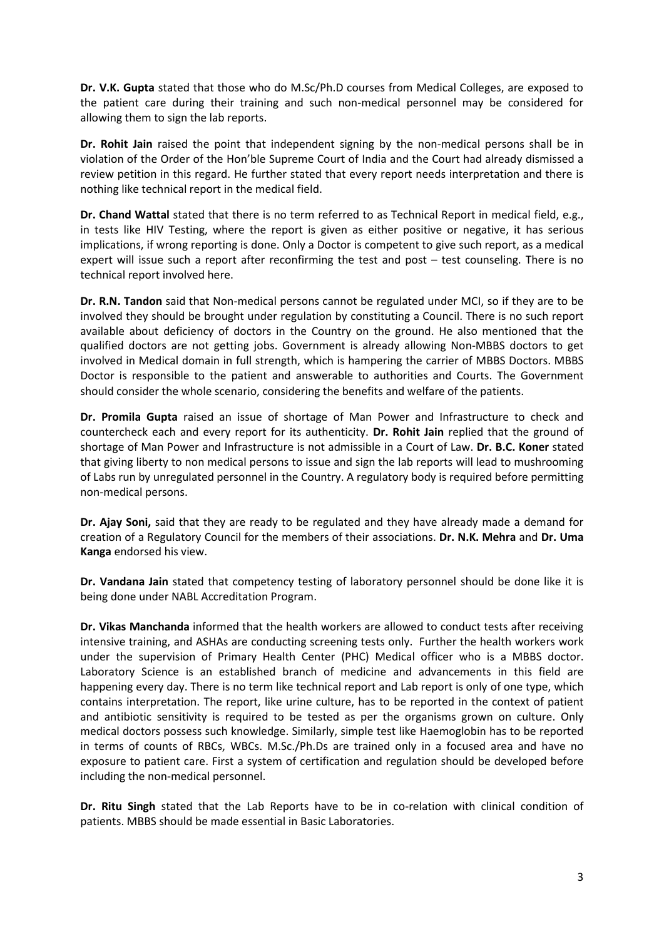**Dr. V.K. Gupta** stated that those who do M.Sc/Ph.D courses from Medical Colleges, are exposed to the patient care during their training and such non-medical personnel may be considered for allowing them to sign the lab reports.

**Dr. Rohit Jain** raised the point that independent signing by the non-medical persons shall be in violation of the Order of the Hon'ble Supreme Court of India and the Court had already dismissed a review petition in this regard. He further stated that every report needs interpretation and there is nothing like technical report in the medical field.

**Dr. Chand Wattal** stated that there is no term referred to as Technical Report in medical field, e.g., in tests like HIV Testing, where the report is given as either positive or negative, it has serious implications, if wrong reporting is done. Only a Doctor is competent to give such report, as a medical expert will issue such a report after reconfirming the test and post – test counseling. There is no technical report involved here.

**Dr. R.N. Tandon** said that Non-medical persons cannot be regulated under MCI, so if they are to be involved they should be brought under regulation by constituting a Council. There is no such report available about deficiency of doctors in the Country on the ground. He also mentioned that the qualified doctors are not getting jobs. Government is already allowing Non-MBBS doctors to get involved in Medical domain in full strength, which is hampering the carrier of MBBS Doctors. MBBS Doctor is responsible to the patient and answerable to authorities and Courts. The Government should consider the whole scenario, considering the benefits and welfare of the patients.

**Dr. Promila Gupta** raised an issue of shortage of Man Power and Infrastructure to check and countercheck each and every report for its authenticity. **Dr. Rohit Jain** replied that the ground of shortage of Man Power and Infrastructure is not admissible in a Court of Law. **Dr. B.C. Koner** stated that giving liberty to non medical persons to issue and sign the lab reports will lead to mushrooming of Labs run by unregulated personnel in the Country. A regulatory body is required before permitting non-medical persons.

**Dr. Ajay Soni,** said that they are ready to be regulated and they have already made a demand for creation of a Regulatory Council for the members of their associations. **Dr. N.K. Mehra** and **Dr. Uma Kanga** endorsed his view.

**Dr. Vandana Jain** stated that competency testing of laboratory personnel should be done like it is being done under NABL Accreditation Program.

**Dr. Vikas Manchanda** informed that the health workers are allowed to conduct tests after receiving intensive training, and ASHAs are conducting screening tests only. Further the health workers work under the supervision of Primary Health Center (PHC) Medical officer who is a MBBS doctor. Laboratory Science is an established branch of medicine and advancements in this field are happening every day. There is no term like technical report and Lab report is only of one type, which contains interpretation. The report, like urine culture, has to be reported in the context of patient and antibiotic sensitivity is required to be tested as per the organisms grown on culture. Only medical doctors possess such knowledge. Similarly, simple test like Haemoglobin has to be reported in terms of counts of RBCs, WBCs. M.Sc./Ph.Ds are trained only in a focused area and have no exposure to patient care. First a system of certification and regulation should be developed before including the non-medical personnel.

**Dr. Ritu Singh** stated that the Lab Reports have to be in co-relation with clinical condition of patients. MBBS should be made essential in Basic Laboratories.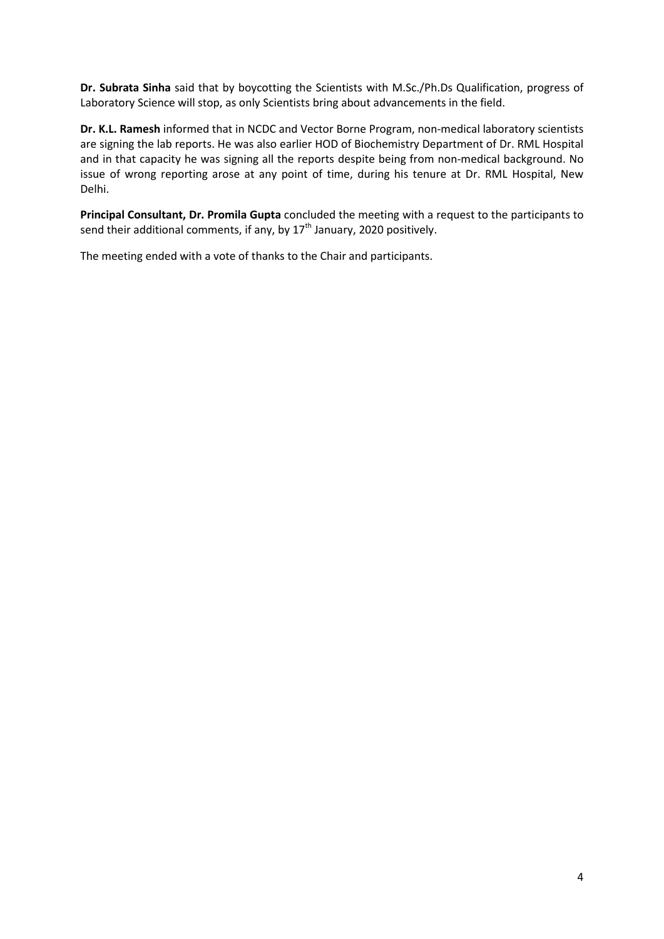**Dr. Subrata Sinha** said that by boycotting the Scientists with M.Sc./Ph.Ds Qualification, progress of Laboratory Science will stop, as only Scientists bring about advancements in the field.

**Dr. K.L. Ramesh** informed that in NCDC and Vector Borne Program, non-medical laboratory scientists are signing the lab reports. He was also earlier HOD of Biochemistry Department of Dr. RML Hospital and in that capacity he was signing all the reports despite being from non-medical background. No issue of wrong reporting arose at any point of time, during his tenure at Dr. RML Hospital, New Delhi.

**Principal Consultant, Dr. Promila Gupta** concluded the meeting with a request to the participants to send their additional comments, if any, by  $17<sup>th</sup>$  January, 2020 positively.

The meeting ended with a vote of thanks to the Chair and participants.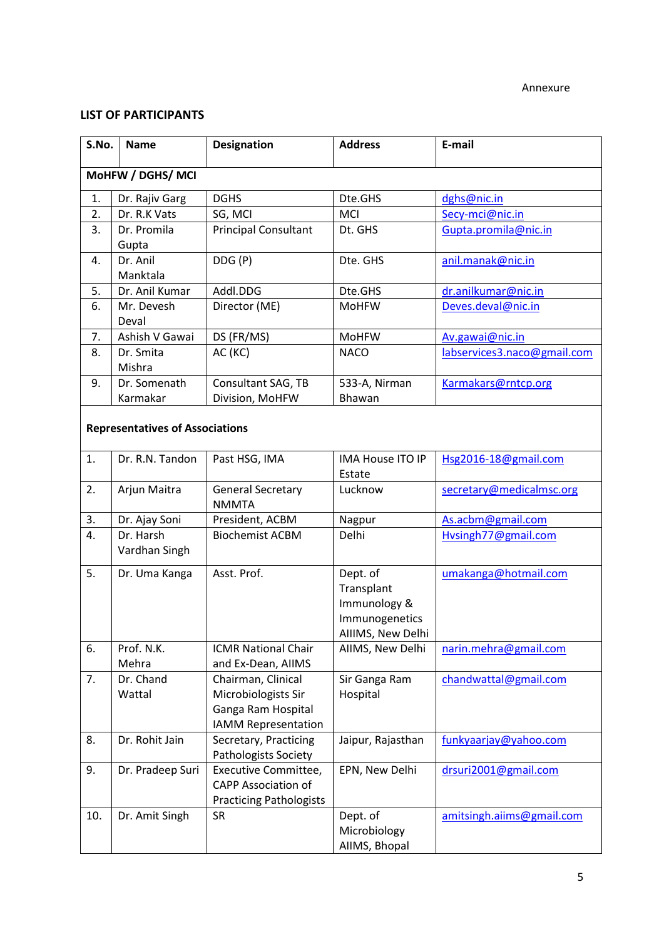## **LIST OF PARTICIPANTS**

| S.No.                                  | <b>Name</b>                | <b>Designation</b>                                                                            | <b>Address</b>                                                                | E-mail                      |  |  |  |
|----------------------------------------|----------------------------|-----------------------------------------------------------------------------------------------|-------------------------------------------------------------------------------|-----------------------------|--|--|--|
| MoHFW / DGHS/ MCI                      |                            |                                                                                               |                                                                               |                             |  |  |  |
| 1.                                     | Dr. Rajiv Garg             | <b>DGHS</b>                                                                                   | Dte.GHS                                                                       | dghs@nic.in                 |  |  |  |
| 2.                                     | Dr. R.K Vats               | SG, MCI                                                                                       | <b>MCI</b>                                                                    | Secy-mci@nic.in             |  |  |  |
| 3.                                     | Dr. Promila<br>Gupta       | <b>Principal Consultant</b>                                                                   | Dt. GHS                                                                       | Gupta.promila@nic.in        |  |  |  |
| 4.                                     | Dr. Anil<br>Manktala       | DDG (P)                                                                                       | Dte. GHS                                                                      | anil.manak@nic.in           |  |  |  |
| 5.                                     | Dr. Anil Kumar             | Addl.DDG                                                                                      | Dte.GHS                                                                       | dr.anilkumar@nic.in         |  |  |  |
| 6.                                     | Mr. Devesh<br>Deval        | Director (ME)                                                                                 | <b>MoHFW</b>                                                                  | Deves.deval@nic.in          |  |  |  |
| 7.                                     | Ashish V Gawai             | DS (FR/MS)                                                                                    | <b>MoHFW</b>                                                                  | Av.gawai@nic.in             |  |  |  |
| 8.                                     | Dr. Smita<br>Mishra        | AC (KC)                                                                                       | <b>NACO</b>                                                                   | labservices3.naco@gmail.com |  |  |  |
| 9.                                     | Dr. Somenath<br>Karmakar   | Consultant SAG, TB<br>Division, MoHFW                                                         | 533-A, Nirman<br>Bhawan                                                       | Karmakars@rntcp.org         |  |  |  |
| <b>Representatives of Associations</b> |                            |                                                                                               |                                                                               |                             |  |  |  |
| 1.                                     | Dr. R.N. Tandon            | Past HSG, IMA                                                                                 | <b>IMA House ITO IP</b><br>Estate                                             | Hsg2016-18@gmail.com        |  |  |  |
| 2.                                     | Arjun Maitra               | <b>General Secretary</b><br><b>NMMTA</b>                                                      | Lucknow                                                                       | secretary@medicalmsc.org    |  |  |  |
| 3.                                     | Dr. Ajay Soni              | President, ACBM                                                                               | Nagpur                                                                        | As.acbm@gmail.com           |  |  |  |
| 4.                                     | Dr. Harsh<br>Vardhan Singh | <b>Biochemist ACBM</b>                                                                        | Delhi                                                                         | Hvsingh77@gmail.com         |  |  |  |
| 5.                                     | Dr. Uma Kanga              | Asst. Prof.                                                                                   | Dept. of<br>Transplant<br>Immunology &<br>Immunogenetics<br>AIIIMS, New Delhi | umakanga@hotmail.com        |  |  |  |
| 6.                                     | Prof. N.K.<br>Mehra        | <b>ICMR National Chair</b><br>and Ex-Dean, AllMS                                              | AllMS, New Delhi                                                              | narin.mehra@gmail.com       |  |  |  |
| 7.                                     | Dr. Chand<br>Wattal        | Chairman, Clinical<br>Microbiologists Sir<br>Ganga Ram Hospital<br><b>IAMM Representation</b> | Sir Ganga Ram<br>Hospital                                                     | chandwattal@gmail.com       |  |  |  |
| 8.                                     | Dr. Rohit Jain             | Secretary, Practicing<br><b>Pathologists Society</b>                                          | Jaipur, Rajasthan                                                             | funkyaarjay@yahoo.com       |  |  |  |
| 9.                                     | Dr. Pradeep Suri           | Executive Committee,<br><b>CAPP Association of</b><br><b>Practicing Pathologists</b>          | EPN, New Delhi                                                                | drsuri2001@gmail.com        |  |  |  |
| 10.                                    | Dr. Amit Singh             | <b>SR</b>                                                                                     | Dept. of<br>Microbiology<br>AIIMS, Bhopal                                     | amitsingh.aiims@gmail.com   |  |  |  |